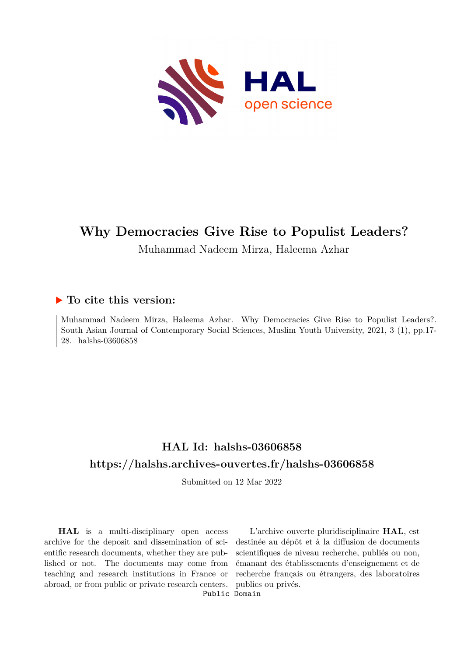

# **Why Democracies Give Rise to Populist Leaders?**

Muhammad Nadeem Mirza, Haleema Azhar

# **To cite this version:**

Muhammad Nadeem Mirza, Haleema Azhar. Why Democracies Give Rise to Populist Leaders?. South Asian Journal of Contemporary Social Sciences, Muslim Youth University, 2021, 3 (1), pp.17- 28. halshs-03606858

# **HAL Id: halshs-03606858 <https://halshs.archives-ouvertes.fr/halshs-03606858>**

Submitted on 12 Mar 2022

**HAL** is a multi-disciplinary open access archive for the deposit and dissemination of scientific research documents, whether they are published or not. The documents may come from teaching and research institutions in France or abroad, or from public or private research centers. Public Domain

L'archive ouverte pluridisciplinaire **HAL**, est destinée au dépôt et à la diffusion de documents scientifiques de niveau recherche, publiés ou non, émanant des établissements d'enseignement et de recherche français ou étrangers, des laboratoires publics ou privés.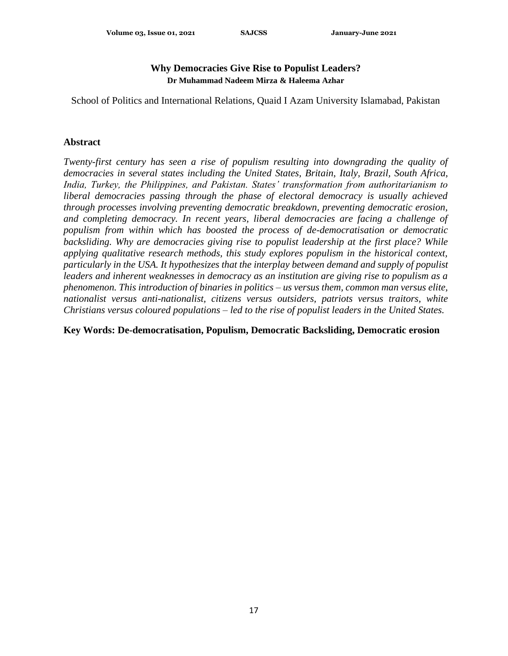# **Why Democracies Give Rise to Populist Leaders? Dr Muhammad Nadeem Mirza & Haleema Azhar**

School of Politics and International Relations, Quaid I Azam University Islamabad, Pakistan

#### **Abstract**

*Twenty-first century has seen a rise of populism resulting into downgrading the quality of democracies in several states including the United States, Britain, Italy, Brazil, South Africa, India, Turkey, the Philippines, and Pakistan. States' transformation from authoritarianism to liberal democracies passing through the phase of electoral democracy is usually achieved through processes involving preventing democratic breakdown, preventing democratic erosion, and completing democracy. In recent years, liberal democracies are facing a challenge of populism from within which has boosted the process of de-democratisation or democratic backsliding. Why are democracies giving rise to populist leadership at the first place? While applying qualitative research methods, this study explores populism in the historical context, particularly in the USA. It hypothesizes that the interplay between demand and supply of populist leaders and inherent weaknesses in democracy as an institution are giving rise to populism as a phenomenon. This introduction of binaries in politics – us versus them, common man versus elite, nationalist versus anti-nationalist, citizens versus outsiders, patriots versus traitors, white Christians versus coloured populations – led to the rise of populist leaders in the United States.*

#### **Key Words: De-democratisation, Populism, Democratic Backsliding, Democratic erosion**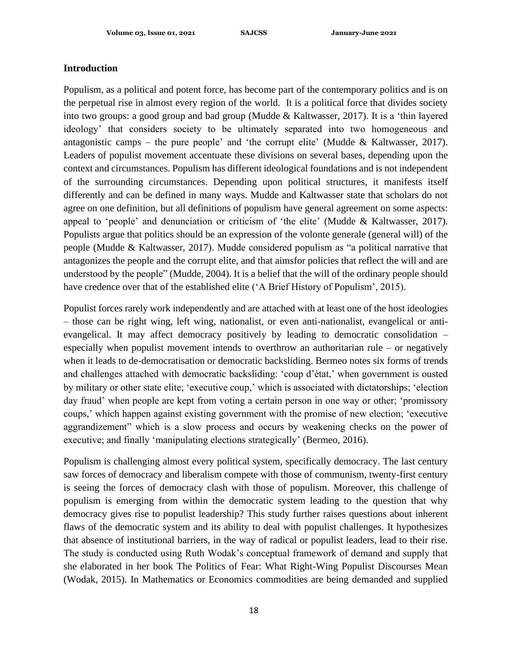#### **Introduction**

Populism, as a political and potent force, has become part of the contemporary politics and is on the perpetual rise in almost every region of the world. It is a political force that divides society into two groups: a good group and bad group (Mudde & Kaltwasser, 2017). It is a 'thin layered ideology' that considers society to be ultimately separated into two homogeneous and antagonistic camps – the pure people' and 'the corrupt elite' (Mudde & Kaltwasser, 2017). Leaders of populist movement accentuate these divisions on several bases, depending upon the context and circumstances. Populism has different ideological foundations and is not independent of the surrounding circumstances. Depending upon political structures, it manifests itself differently and can be defined in many ways. Mudde and Kaltwasser state that scholars do not agree on one definition, but all definitions of populism have general agreement on some aspects: appeal to 'people' and denunciation or criticism of 'the elite' (Mudde & Kaltwasser, 2017). Populists argue that politics should be an expression of the volonte generale (general will) of the people (Mudde & Kaltwasser, 2017). Mudde considered populism as "a political narrative that antagonizes the people and the corrupt elite, and that aimsfor policies that reflect the will and are understood by the people" (Mudde, 2004). It is a belief that the will of the ordinary people should have credence over that of the established elite ('A Brief History of Populism', 2015).

Populist forces rarely work independently and are attached with at least one of the host ideologies – those can be right wing, left wing, nationalist, or even anti-nationalist, evangelical or antievangelical. It may affect democracy positively by leading to democratic consolidation – especially when populist movement intends to overthrow an authoritarian rule – or negatively when it leads to de-democratisation or democratic backsliding. Bermeo notes six forms of trends and challenges attached with democratic backsliding: 'coup d'état,' when government is ousted by military or other state elite; 'executive coup,' which is associated with dictatorships; 'election day fraud' when people are kept from voting a certain person in one way or other; 'promissory coups,' which happen against existing government with the promise of new election; 'executive aggrandizement" which is a slow process and occurs by weakening checks on the power of executive; and finally 'manipulating elections strategically' (Bermeo, 2016).

Populism is challenging almost every political system, specifically democracy. The last century saw forces of democracy and liberalism compete with those of communism, twenty-first century is seeing the forces of democracy clash with those of populism. Moreover, this challenge of populism is emerging from within the democratic system leading to the question that why democracy gives rise to populist leadership? This study further raises questions about inherent flaws of the democratic system and its ability to deal with populist challenges. It hypothesizes that absence of institutional barriers, in the way of radical or populist leaders, lead to their rise. The study is conducted using Ruth Wodak's conceptual framework of demand and supply that she elaborated in her book The Politics of Fear: What Right-Wing Populist Discourses Mean (Wodak, 2015). In Mathematics or Economics commodities are being demanded and supplied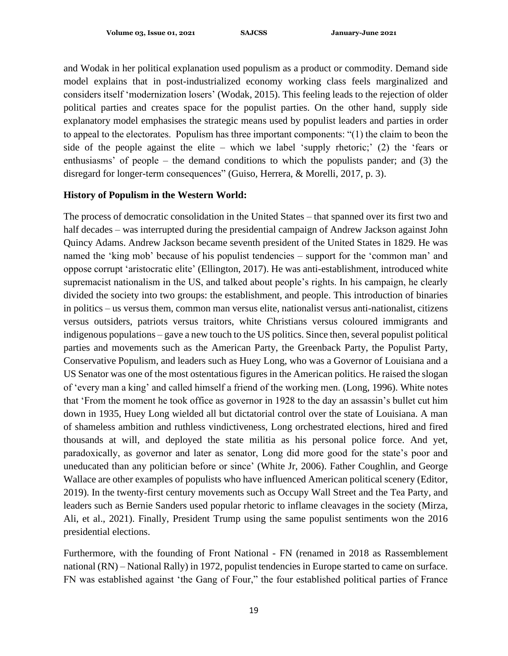and Wodak in her political explanation used populism as a product or commodity. Demand side model explains that in post-industrialized economy working class feels marginalized and considers itself 'modernization losers' (Wodak, 2015). This feeling leads to the rejection of older political parties and creates space for the populist parties. On the other hand, supply side explanatory model emphasises the strategic means used by populist leaders and parties in order to appeal to the electorates. Populism has three important components: "(1) the claim to beon the side of the people against the elite – which we label 'supply rhetoric;' (2) the 'fears or enthusiasms' of people – the demand conditions to which the populists pander; and (3) the disregard for longer-term consequences" (Guiso, Herrera, & Morelli, 2017, p. 3).

# **History of Populism in the Western World:**

The process of democratic consolidation in the United States – that spanned over its first two and half decades – was interrupted during the presidential campaign of Andrew Jackson against John Quincy Adams. Andrew Jackson became seventh president of the United States in 1829. He was named the 'king mob' because of his populist tendencies – support for the 'common man' and oppose corrupt 'aristocratic elite' (Ellington, 2017). He was anti-establishment, introduced white supremacist nationalism in the US, and talked about people's rights. In his campaign, he clearly divided the society into two groups: the establishment, and people. This introduction of binaries in politics – us versus them, common man versus elite, nationalist versus anti-nationalist, citizens versus outsiders, patriots versus traitors, white Christians versus coloured immigrants and indigenous populations – gave a new touch to the US politics. Since then, several populist political parties and movements such as the American Party, the Greenback Party, the Populist Party, Conservative Populism, and leaders such as Huey Long, who was a Governor of Louisiana and a US Senator was one of the most ostentatious figures in the American politics. He raised the slogan of 'every man a king' and called himself a friend of the working men. (Long, 1996). White notes that 'From the moment he took office as governor in 1928 to the day an assassin's bullet cut him down in 1935, Huey Long wielded all but dictatorial control over the state of Louisiana. A man of shameless ambition and ruthless vindictiveness, Long orchestrated elections, hired and fired thousands at will, and deployed the state militia as his personal police force. And yet, paradoxically, as governor and later as senator, Long did more good for the state's poor and uneducated than any politician before or since' (White Jr, 2006). Father Coughlin, and George Wallace are other examples of populists who have influenced American political scenery (Editor, 2019). In the twenty-first century movements such as Occupy Wall Street and the Tea Party, and leaders such as Bernie Sanders used popular rhetoric to inflame cleavages in the society (Mirza, Ali, et al., 2021). Finally, President Trump using the same populist sentiments won the 2016 presidential elections.

Furthermore, with the founding of Front National - FN (renamed in 2018 as Rassemblement national (RN) – National Rally) in 1972, populist tendencies in Europe started to came on surface. FN was established against 'the Gang of Four," the four established political parties of France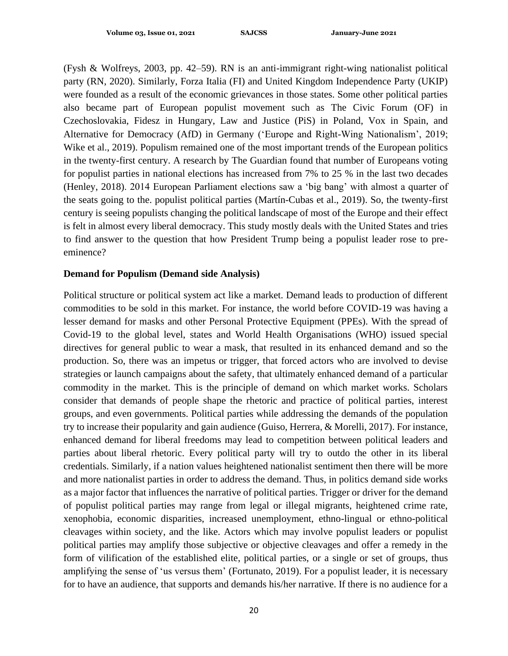(Fysh & Wolfreys, 2003, pp. 42–59). RN is an anti-immigrant right-wing nationalist political party (RN, 2020). Similarly, Forza Italia (FI) and United Kingdom Independence Party (UKIP) were founded as a result of the economic grievances in those states. Some other political parties also became part of European populist movement such as The Civic Forum (OF) in Czechoslovakia, Fidesz in Hungary, Law and Justice (PiS) in Poland, Vox in Spain, and Alternative for Democracy (AfD) in Germany ('Europe and Right-Wing Nationalism', 2019; Wike et al., 2019). Populism remained one of the most important trends of the European politics in the twenty-first century. A research by The Guardian found that number of Europeans voting for populist parties in national elections has increased from 7% to 25 % in the last two decades (Henley, 2018). 2014 European Parliament elections saw a 'big bang' with almost a quarter of the seats going to the. populist political parties (Martín-Cubas et al., 2019). So, the twenty-first century is seeing populists changing the political landscape of most of the Europe and their effect is felt in almost every liberal democracy. This study mostly deals with the United States and tries to find answer to the question that how President Trump being a populist leader rose to preeminence?

#### **Demand for Populism (Demand side Analysis)**

Political structure or political system act like a market. Demand leads to production of different commodities to be sold in this market. For instance, the world before COVID-19 was having a lesser demand for masks and other Personal Protective Equipment (PPEs). With the spread of Covid-19 to the global level, states and World Health Organisations (WHO) issued special directives for general public to wear a mask, that resulted in its enhanced demand and so the production. So, there was an impetus or trigger, that forced actors who are involved to devise strategies or launch campaigns about the safety, that ultimately enhanced demand of a particular commodity in the market. This is the principle of demand on which market works. Scholars consider that demands of people shape the rhetoric and practice of political parties, interest groups, and even governments. Political parties while addressing the demands of the population try to increase their popularity and gain audience (Guiso, Herrera, & Morelli, 2017). For instance, enhanced demand for liberal freedoms may lead to competition between political leaders and parties about liberal rhetoric. Every political party will try to outdo the other in its liberal credentials. Similarly, if a nation values heightened nationalist sentiment then there will be more and more nationalist parties in order to address the demand. Thus, in politics demand side works as a major factor that influences the narrative of political parties. Trigger or driver for the demand of populist political parties may range from legal or illegal migrants, heightened crime rate, xenophobia, economic disparities, increased unemployment, ethno-lingual or ethno-political cleavages within society, and the like. Actors which may involve populist leaders or populist political parties may amplify those subjective or objective cleavages and offer a remedy in the form of vilification of the established elite, political parties, or a single or set of groups, thus amplifying the sense of 'us versus them' (Fortunato, 2019). For a populist leader, it is necessary for to have an audience, that supports and demands his/her narrative. If there is no audience for a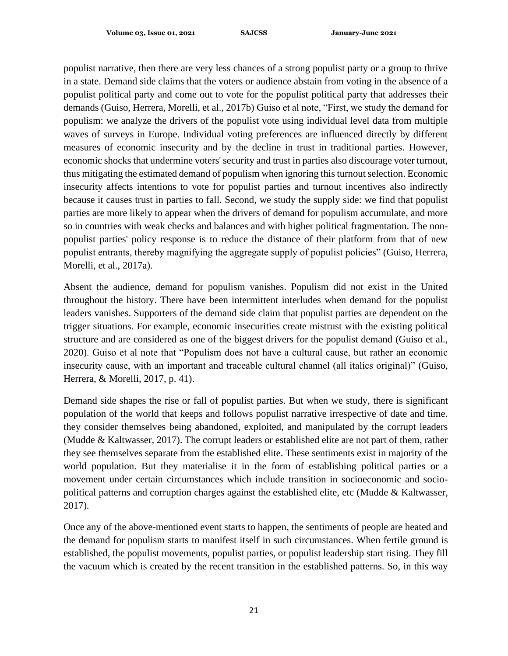populist narrative, then there are very less chances of a strong populist party or a group to thrive in a state. Demand side claims that the voters or audience abstain from voting in the absence of a populist political party and come out to vote for the populist political party that addresses their demands (Guiso, Herrera, Morelli, et al., 2017b) Guiso et al note, "First, we study the demand for populism: we analyze the drivers of the populist vote using individual level data from multiple waves of surveys in Europe. Individual voting preferences are influenced directly by different measures of economic insecurity and by the decline in trust in traditional parties. However, economic shocks that undermine voters' security and trust in parties also discourage voter turnout, thus mitigating the estimated demand of populism when ignoring this turnout selection. Economic insecurity affects intentions to vote for populist parties and turnout incentives also indirectly because it causes trust in parties to fall. Second, we study the supply side: we find that populist parties are more likely to appear when the drivers of demand for populism accumulate, and more so in countries with weak checks and balances and with higher political fragmentation. The nonpopulist parties' policy response is to reduce the distance of their platform from that of new populist entrants, thereby magnifying the aggregate supply of populist policies" (Guiso, Herrera, Morelli, et al., 2017a).

Absent the audience, demand for populism vanishes. Populism did not exist in the United throughout the history. There have been intermittent interludes when demand for the populist leaders vanishes. Supporters of the demand side claim that populist parties are dependent on the trigger situations. For example, economic insecurities create mistrust with the existing political structure and are considered as one of the biggest drivers for the populist demand (Guiso et al., 2020). Guiso et al note that "Populism does not have a cultural cause, but rather an economic insecurity cause, with an important and traceable cultural channel (all italics original)" (Guiso, Herrera, & Morelli, 2017, p. 41).

Demand side shapes the rise or fall of populist parties. But when we study, there is significant population of the world that keeps and follows populist narrative irrespective of date and time. they consider themselves being abandoned, exploited, and manipulated by the corrupt leaders (Mudde & Kaltwasser, 2017). The corrupt leaders or established elite are not part of them, rather they see themselves separate from the established elite. These sentiments exist in majority of the world population. But they materialise it in the form of establishing political parties or a movement under certain circumstances which include transition in socioeconomic and sociopolitical patterns and corruption charges against the established elite, etc (Mudde & Kaltwasser, 2017).

Once any of the above-mentioned event starts to happen, the sentiments of people are heated and the demand for populism starts to manifest itself in such circumstances. When fertile ground is established, the populist movements, populist parties, or populist leadership start rising. They fill the vacuum which is created by the recent transition in the established patterns. So, in this way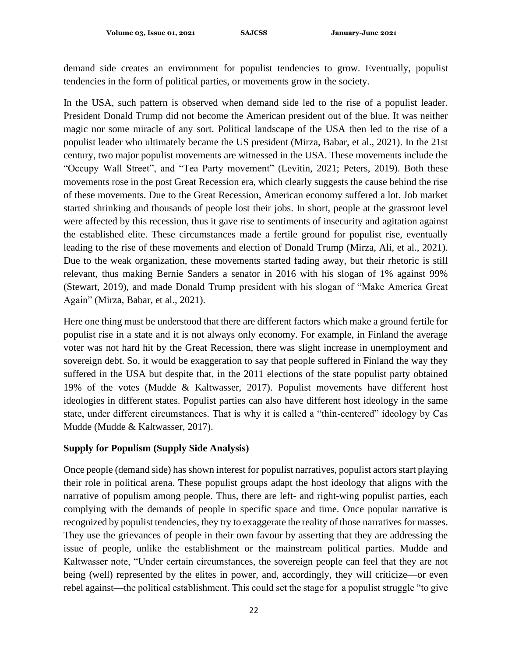demand side creates an environment for populist tendencies to grow. Eventually, populist tendencies in the form of political parties, or movements grow in the society.

In the USA, such pattern is observed when demand side led to the rise of a populist leader. President Donald Trump did not become the American president out of the blue. It was neither magic nor some miracle of any sort. Political landscape of the USA then led to the rise of a populist leader who ultimately became the US president (Mirza, Babar, et al., 2021). In the 21st century, two major populist movements are witnessed in the USA. These movements include the "Occupy Wall Street", and "Tea Party movement" (Levitin, 2021; Peters, 2019). Both these movements rose in the post Great Recession era, which clearly suggests the cause behind the rise of these movements. Due to the Great Recession, American economy suffered a lot. Job market started shrinking and thousands of people lost their jobs. In short, people at the grassroot level were affected by this recession, thus it gave rise to sentiments of insecurity and agitation against the established elite. These circumstances made a fertile ground for populist rise, eventually leading to the rise of these movements and election of Donald Trump (Mirza, Ali, et al., 2021). Due to the weak organization, these movements started fading away, but their rhetoric is still relevant, thus making Bernie Sanders a senator in 2016 with his slogan of 1% against 99% (Stewart, 2019), and made Donald Trump president with his slogan of "Make America Great Again" (Mirza, Babar, et al., 2021).

Here one thing must be understood that there are different factors which make a ground fertile for populist rise in a state and it is not always only economy. For example, in Finland the average voter was not hard hit by the Great Recession, there was slight increase in unemployment and sovereign debt. So, it would be exaggeration to say that people suffered in Finland the way they suffered in the USA but despite that, in the 2011 elections of the state populist party obtained 19% of the votes (Mudde & Kaltwasser, 2017). Populist movements have different host ideologies in different states. Populist parties can also have different host ideology in the same state, under different circumstances. That is why it is called a "thin-centered" ideology by Cas Mudde (Mudde & Kaltwasser, 2017).

### **Supply for Populism (Supply Side Analysis)**

Once people (demand side) has shown interest for populist narratives, populist actors start playing their role in political arena. These populist groups adapt the host ideology that aligns with the narrative of populism among people. Thus, there are left- and right-wing populist parties, each complying with the demands of people in specific space and time. Once popular narrative is recognized by populist tendencies, they try to exaggerate the reality of those narratives for masses. They use the grievances of people in their own favour by asserting that they are addressing the issue of people, unlike the establishment or the mainstream political parties. Mudde and Kaltwasser note, "Under certain circumstances, the sovereign people can feel that they are not being (well) represented by the elites in power, and, accordingly, they will criticize—or even rebel against—the political establishment. This could set the stage for a populist struggle "to give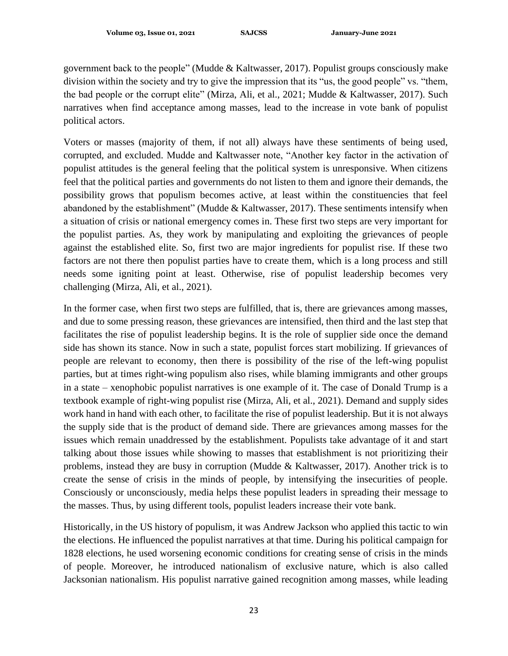government back to the people" (Mudde & Kaltwasser, 2017). Populist groups consciously make division within the society and try to give the impression that its "us, the good people" vs. "them, the bad people or the corrupt elite" (Mirza, Ali, et al., 2021; Mudde & Kaltwasser, 2017). Such narratives when find acceptance among masses, lead to the increase in vote bank of populist political actors.

Voters or masses (majority of them, if not all) always have these sentiments of being used, corrupted, and excluded. Mudde and Kaltwasser note, "Another key factor in the activation of populist attitudes is the general feeling that the political system is unresponsive. When citizens feel that the political parties and governments do not listen to them and ignore their demands, the possibility grows that populism becomes active, at least within the constituencies that feel abandoned by the establishment" (Mudde & Kaltwasser, 2017). These sentiments intensify when a situation of crisis or national emergency comes in. These first two steps are very important for the populist parties. As, they work by manipulating and exploiting the grievances of people against the established elite. So, first two are major ingredients for populist rise. If these two factors are not there then populist parties have to create them, which is a long process and still needs some igniting point at least. Otherwise, rise of populist leadership becomes very challenging (Mirza, Ali, et al., 2021).

In the former case, when first two steps are fulfilled, that is, there are grievances among masses, and due to some pressing reason, these grievances are intensified, then third and the last step that facilitates the rise of populist leadership begins. It is the role of supplier side once the demand side has shown its stance. Now in such a state, populist forces start mobilizing. If grievances of people are relevant to economy, then there is possibility of the rise of the left-wing populist parties, but at times right-wing populism also rises, while blaming immigrants and other groups in a state – xenophobic populist narratives is one example of it. The case of Donald Trump is a textbook example of right-wing populist rise (Mirza, Ali, et al., 2021). Demand and supply sides work hand in hand with each other, to facilitate the rise of populist leadership. But it is not always the supply side that is the product of demand side. There are grievances among masses for the issues which remain unaddressed by the establishment. Populists take advantage of it and start talking about those issues while showing to masses that establishment is not prioritizing their problems, instead they are busy in corruption (Mudde  $\&$  Kaltwasser, 2017). Another trick is to create the sense of crisis in the minds of people, by intensifying the insecurities of people. Consciously or unconsciously, media helps these populist leaders in spreading their message to the masses. Thus, by using different tools, populist leaders increase their vote bank.

Historically, in the US history of populism, it was Andrew Jackson who applied this tactic to win the elections. He influenced the populist narratives at that time. During his political campaign for 1828 elections, he used worsening economic conditions for creating sense of crisis in the minds of people. Moreover, he introduced nationalism of exclusive nature, which is also called Jacksonian nationalism. His populist narrative gained recognition among masses, while leading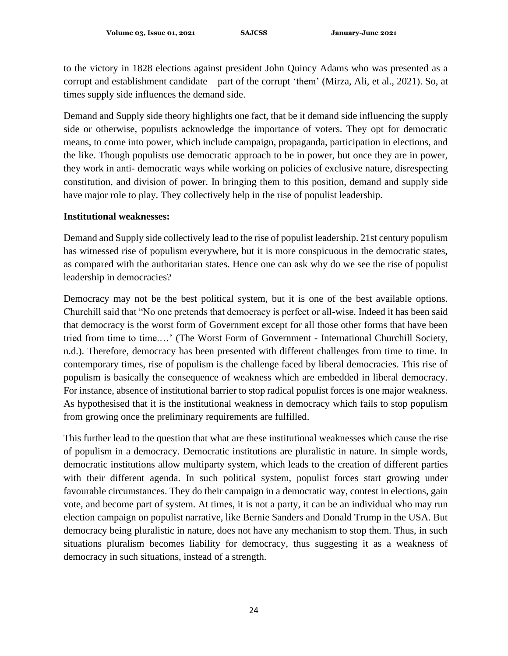to the victory in 1828 elections against president John Quincy Adams who was presented as a corrupt and establishment candidate – part of the corrupt 'them' (Mirza, Ali, et al., 2021). So, at times supply side influences the demand side.

Demand and Supply side theory highlights one fact, that be it demand side influencing the supply side or otherwise, populists acknowledge the importance of voters. They opt for democratic means, to come into power, which include campaign, propaganda, participation in elections, and the like. Though populists use democratic approach to be in power, but once they are in power, they work in anti- democratic ways while working on policies of exclusive nature, disrespecting constitution, and division of power. In bringing them to this position, demand and supply side have major role to play. They collectively help in the rise of populist leadership.

# **Institutional weaknesses:**

Demand and Supply side collectively lead to the rise of populist leadership. 21st century populism has witnessed rise of populism everywhere, but it is more conspicuous in the democratic states, as compared with the authoritarian states. Hence one can ask why do we see the rise of populist leadership in democracies?

Democracy may not be the best political system, but it is one of the best available options. Churchill said that "No one pretends that democracy is perfect or all-wise. Indeed it has been said that democracy is the worst form of Government except for all those other forms that have been tried from time to time.…' (The Worst Form of Government - International Churchill Society, n.d.). Therefore, democracy has been presented with different challenges from time to time. In contemporary times, rise of populism is the challenge faced by liberal democracies. This rise of populism is basically the consequence of weakness which are embedded in liberal democracy. For instance, absence of institutional barrier to stop radical populist forces is one major weakness. As hypothesised that it is the institutional weakness in democracy which fails to stop populism from growing once the preliminary requirements are fulfilled.

This further lead to the question that what are these institutional weaknesses which cause the rise of populism in a democracy. Democratic institutions are pluralistic in nature. In simple words, democratic institutions allow multiparty system, which leads to the creation of different parties with their different agenda. In such political system, populist forces start growing under favourable circumstances. They do their campaign in a democratic way, contest in elections, gain vote, and become part of system. At times, it is not a party, it can be an individual who may run election campaign on populist narrative, like Bernie Sanders and Donald Trump in the USA. But democracy being pluralistic in nature, does not have any mechanism to stop them. Thus, in such situations pluralism becomes liability for democracy, thus suggesting it as a weakness of democracy in such situations, instead of a strength.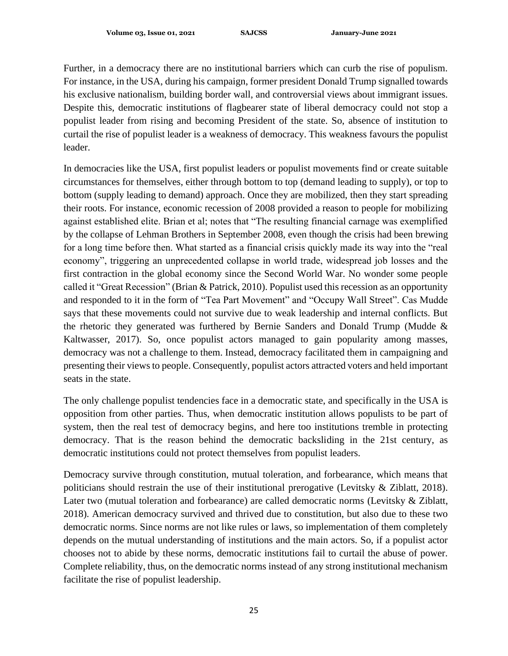Further, in a democracy there are no institutional barriers which can curb the rise of populism. For instance, in the USA, during his campaign, former president Donald Trump signalled towards his exclusive nationalism, building border wall, and controversial views about immigrant issues. Despite this, democratic institutions of flagbearer state of liberal democracy could not stop a populist leader from rising and becoming President of the state. So, absence of institution to curtail the rise of populist leader is a weakness of democracy. This weakness favours the populist leader.

In democracies like the USA, first populist leaders or populist movements find or create suitable circumstances for themselves, either through bottom to top (demand leading to supply), or top to bottom (supply leading to demand) approach. Once they are mobilized, then they start spreading their roots. For instance, economic recession of 2008 provided a reason to people for mobilizing against established elite. Brian et al; notes that "The resulting financial carnage was exemplified by the collapse of Lehman Brothers in September 2008, even though the crisis had been brewing for a long time before then. What started as a financial crisis quickly made its way into the "real economy", triggering an unprecedented collapse in world trade, widespread job losses and the first contraction in the global economy since the Second World War. No wonder some people called it "Great Recession" (Brian & Patrick, 2010). Populist used this recession as an opportunity and responded to it in the form of "Tea Part Movement" and "Occupy Wall Street". Cas Mudde says that these movements could not survive due to weak leadership and internal conflicts. But the rhetoric they generated was furthered by Bernie Sanders and Donald Trump (Mudde & Kaltwasser, 2017). So, once populist actors managed to gain popularity among masses, democracy was not a challenge to them. Instead, democracy facilitated them in campaigning and presenting their views to people. Consequently, populist actors attracted voters and held important seats in the state.

The only challenge populist tendencies face in a democratic state, and specifically in the USA is opposition from other parties. Thus, when democratic institution allows populists to be part of system, then the real test of democracy begins, and here too institutions tremble in protecting democracy. That is the reason behind the democratic backsliding in the 21st century, as democratic institutions could not protect themselves from populist leaders.

Democracy survive through constitution, mutual toleration, and forbearance, which means that politicians should restrain the use of their institutional prerogative (Levitsky & Ziblatt, 2018). Later two (mutual toleration and forbearance) are called democratic norms (Levitsky & Ziblatt, 2018). American democracy survived and thrived due to constitution, but also due to these two democratic norms. Since norms are not like rules or laws, so implementation of them completely depends on the mutual understanding of institutions and the main actors. So, if a populist actor chooses not to abide by these norms, democratic institutions fail to curtail the abuse of power. Complete reliability, thus, on the democratic norms instead of any strong institutional mechanism facilitate the rise of populist leadership.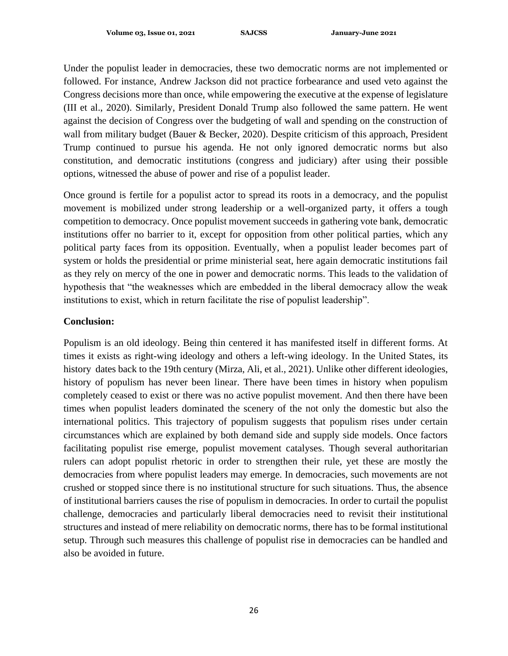Under the populist leader in democracies, these two democratic norms are not implemented or followed. For instance, Andrew Jackson did not practice forbearance and used veto against the Congress decisions more than once, while empowering the executive at the expense of legislature (III et al., 2020). Similarly, President Donald Trump also followed the same pattern. He went against the decision of Congress over the budgeting of wall and spending on the construction of wall from military budget (Bauer & Becker, 2020). Despite criticism of this approach, President Trump continued to pursue his agenda. He not only ignored democratic norms but also constitution, and democratic institutions (congress and judiciary) after using their possible options, witnessed the abuse of power and rise of a populist leader.

Once ground is fertile for a populist actor to spread its roots in a democracy, and the populist movement is mobilized under strong leadership or a well-organized party, it offers a tough competition to democracy. Once populist movement succeeds in gathering vote bank, democratic institutions offer no barrier to it, except for opposition from other political parties, which any political party faces from its opposition. Eventually, when a populist leader becomes part of system or holds the presidential or prime ministerial seat, here again democratic institutions fail as they rely on mercy of the one in power and democratic norms. This leads to the validation of hypothesis that "the weaknesses which are embedded in the liberal democracy allow the weak institutions to exist, which in return facilitate the rise of populist leadership".

### **Conclusion:**

Populism is an old ideology. Being thin centered it has manifested itself in different forms. At times it exists as right-wing ideology and others a left-wing ideology. In the United States, its history dates back to the 19th century (Mirza, Ali, et al., 2021). Unlike other different ideologies, history of populism has never been linear. There have been times in history when populism completely ceased to exist or there was no active populist movement. And then there have been times when populist leaders dominated the scenery of the not only the domestic but also the international politics. This trajectory of populism suggests that populism rises under certain circumstances which are explained by both demand side and supply side models. Once factors facilitating populist rise emerge, populist movement catalyses. Though several authoritarian rulers can adopt populist rhetoric in order to strengthen their rule, yet these are mostly the democracies from where populist leaders may emerge. In democracies, such movements are not crushed or stopped since there is no institutional structure for such situations. Thus, the absence of institutional barriers causes the rise of populism in democracies. In order to curtail the populist challenge, democracies and particularly liberal democracies need to revisit their institutional structures and instead of mere reliability on democratic norms, there has to be formal institutional setup. Through such measures this challenge of populist rise in democracies can be handled and also be avoided in future.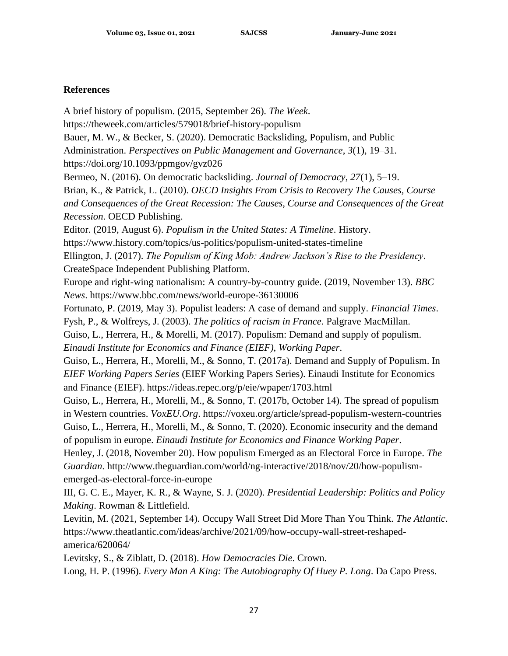### **References**

A brief history of populism. (2015, September 26). *The Week*. https://theweek.com/articles/579018/brief-history-populism Bauer, M. W., & Becker, S. (2020). Democratic Backsliding, Populism, and Public Administration. *Perspectives on Public Management and Governance*, *3*(1), 19–31. https://doi.org/10.1093/ppmgov/gvz026 Bermeo, N. (2016). On democratic backsliding. *Journal of Democracy*, *27*(1), 5–19. Brian, K., & Patrick, L. (2010). *OECD Insights From Crisis to Recovery The Causes, Course and Consequences of the Great Recession: The Causes, Course and Consequences of the Great Recession*. OECD Publishing. Editor. (2019, August 6). *Populism in the United States: A Timeline*. History. https://www.history.com/topics/us-politics/populism-united-states-timeline Ellington, J. (2017). *The Populism of King Mob: Andrew Jackson's Rise to the Presidency*. CreateSpace Independent Publishing Platform. Europe and right-wing nationalism: A country-by-country guide. (2019, November 13). *BBC News*. https://www.bbc.com/news/world-europe-36130006 Fortunato, P. (2019, May 3). Populist leaders: A case of demand and supply. *Financial Times*. Fysh, P., & Wolfreys, J. (2003). *The politics of racism in France*. Palgrave MacMillan. Guiso, L., Herrera, H., & Morelli, M. (2017). Populism: Demand and supply of populism. *Einaudi Institute for Economics and Finance (EIEF), Working Paper*. Guiso, L., Herrera, H., Morelli, M., & Sonno, T. (2017a). Demand and Supply of Populism. In *EIEF Working Papers Series* (EIEF Working Papers Series). Einaudi Institute for Economics and Finance (EIEF). https://ideas.repec.org/p/eie/wpaper/1703.html Guiso, L., Herrera, H., Morelli, M., & Sonno, T. (2017b, October 14). The spread of populism in Western countries. *VoxEU.Org*. https://voxeu.org/article/spread-populism-western-countries Guiso, L., Herrera, H., Morelli, M., & Sonno, T. (2020). Economic insecurity and the demand of populism in europe. *Einaudi Institute for Economics and Finance Working Paper*. Henley, J. (2018, November 20). How populism Emerged as an Electoral Force in Europe. *The Guardian*. http://www.theguardian.com/world/ng-interactive/2018/nov/20/how-populismemerged-as-electoral-force-in-europe III, G. C. E., Mayer, K. R., & Wayne, S. J. (2020). *Presidential Leadership: Politics and Policy Making*. Rowman & Littlefield. Levitin, M. (2021, September 14). Occupy Wall Street Did More Than You Think. *The Atlantic*. https://www.theatlantic.com/ideas/archive/2021/09/how-occupy-wall-street-reshapedamerica/620064/

Levitsky, S., & Ziblatt, D. (2018). *How Democracies Die*. Crown. Long, H. P. (1996). *Every Man A King: The Autobiography Of Huey P. Long*. Da Capo Press.